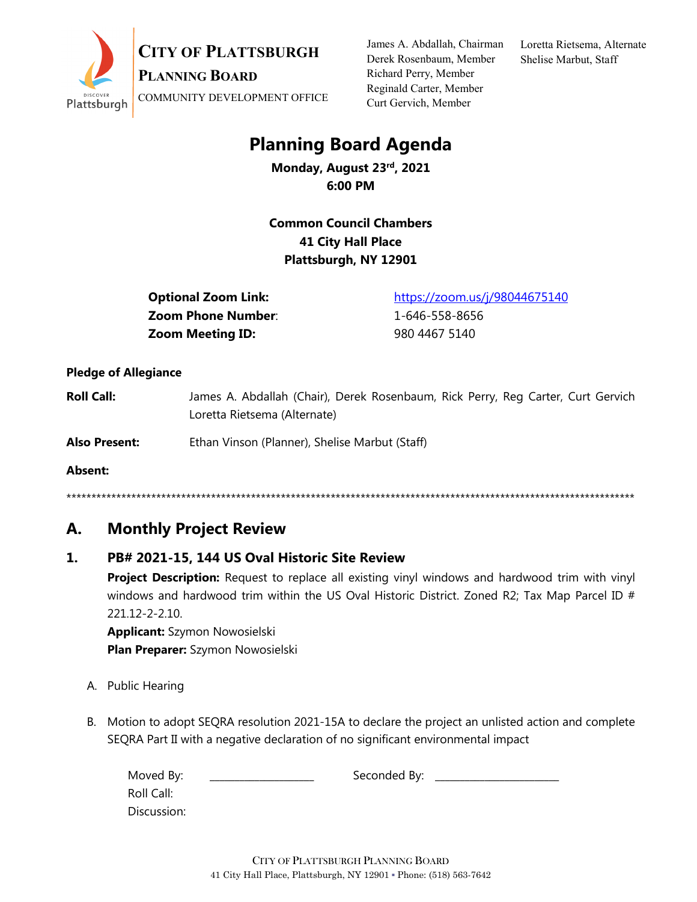

James A. Abdallah, Chairman Derek Rosenbaum, Member Richard Perry, Member Reginald Carter, Member Curt Gervich, Member

Loretta Rietsema, Alternate Shelise Marbut, Staff

# **Planning Board Agenda**

**Monday, August 23rd, 2021 6:00 PM**

**Common Council Chambers 41 City Hall Place Plattsburgh, NY 12901**

**Optional Zoom Link:** <https://zoom.us/j/98044675140> **Zoom Phone Number**: 1-646-558-8656 **Zoom Meeting ID:** 980 4467 5140

#### **Pledge of Allegiance**

- **Roll Call:** James A. Abdallah (Chair), Derek Rosenbaum, Rick Perry, Reg Carter, Curt Gervich Loretta Rietsema (Alternate)
- **Also Present:** Ethan Vinson (Planner), Shelise Marbut (Staff)

**Absent:**

\*\*\*\*\*\*\*\*\*\*\*\*\*\*\*\*\*\*\*\*\*\*\*\*\*\*\*\*\*\*\*\*\*\*\*\*\*\*\*\*\*\*\*\*\*\*\*\*\*\*\*\*\*\*\*\*\*\*\*\*\*\*\*\*\*\*\*\*\*\*\*\*\*\*\*\*\*\*\*\*\*\*\*\*\*\*\*\*\*\*\*\*\*\*\*\*\*\*\*\*\*\*\*\*\*\*\*\*\*\*\*\*\*\*

### **A. Monthly Project Review**

#### **1. PB# 2021-15, 144 US Oval Historic Site Review**

**Project Description:** Request to replace all existing vinyl windows and hardwood trim with vinyl windows and hardwood trim within the US Oval Historic District. Zoned R2; Tax Map Parcel ID # 221.12-2-2.10.

**Applicant:** Szymon Nowosielski **Plan Preparer:** Szymon Nowosielski

- A. Public Hearing
- B. Motion to adopt SEQRA resolution 2021-15A to declare the project an unlisted action and complete SEQRA Part II with a negative declaration of no significant environmental impact

| Moved By:   | Seconded By: |  |
|-------------|--------------|--|
| Roll Call:  |              |  |
| Discussion: |              |  |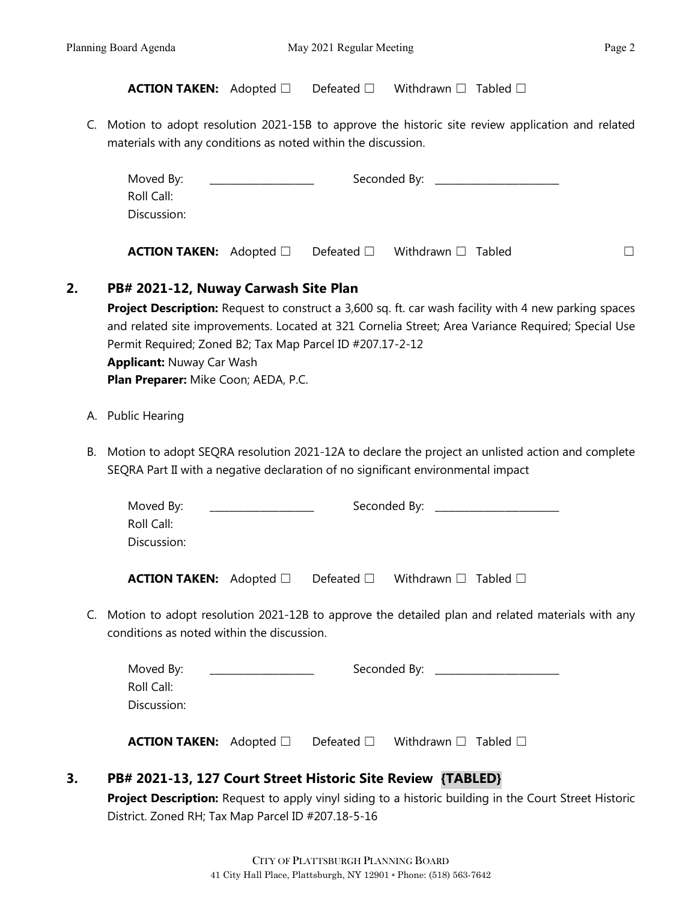**ACTION TAKEN:** Adopted □ Defeated □ Withdrawn □ Tabled □

C. Motion to adopt resolution 2021-15B to approve the historic site review application and related materials with any conditions as noted within the discussion.

|    | Moved By:<br>Roll Call:                                                                                                                                                              |                                                                                                                                                                                                             |  |  |
|----|--------------------------------------------------------------------------------------------------------------------------------------------------------------------------------------|-------------------------------------------------------------------------------------------------------------------------------------------------------------------------------------------------------------|--|--|
|    | Discussion:                                                                                                                                                                          |                                                                                                                                                                                                             |  |  |
|    | <b>ACTION TAKEN:</b> Adopted $\Box$                                                                                                                                                  | Defeated $\square$ Withdrawn $\square$ Tabled<br>$\Box$                                                                                                                                                     |  |  |
| 2. | PB# 2021-12, Nuway Carwash Site Plan                                                                                                                                                 |                                                                                                                                                                                                             |  |  |
|    | Permit Required; Zoned B2; Tax Map Parcel ID #207.17-2-12<br><b>Applicant: Nuway Car Wash</b><br>Plan Preparer: Mike Coon; AEDA, P.C.                                                | Project Description: Request to construct a 3,600 sq. ft. car wash facility with 4 new parking spaces<br>and related site improvements. Located at 321 Cornelia Street; Area Variance Required; Special Use |  |  |
|    | A. Public Hearing                                                                                                                                                                    |                                                                                                                                                                                                             |  |  |
| В. | Motion to adopt SEQRA resolution 2021-12A to declare the project an unlisted action and complete<br>SEQRA Part II with a negative declaration of no significant environmental impact |                                                                                                                                                                                                             |  |  |
|    | Moved By:<br>Roll Call:<br>Discussion:                                                                                                                                               | Seconded By: ___________________                                                                                                                                                                            |  |  |
|    | <b>ACTION TAKEN:</b> Adopted $\Box$ Defeated $\Box$                                                                                                                                  | Withdrawn $\square$ Tabled $\square$                                                                                                                                                                        |  |  |
|    | conditions as noted within the discussion.                                                                                                                                           | C. Motion to adopt resolution 2021-12B to approve the detailed plan and related materials with any                                                                                                          |  |  |
|    | Moved By:<br>Roll Call:<br>Discussion:                                                                                                                                               | Seconded By: _____________________                                                                                                                                                                          |  |  |
|    | <b>ACTION TAKEN:</b> Adopted $\Box$                                                                                                                                                  | Defeated $\square$<br>Withdrawn $\square$ Tabled $\square$                                                                                                                                                  |  |  |

### **3. PB# 2021-13, 127 Court Street Historic Site Review {TABLED}**

**Project Description:** Request to apply vinyl siding to a historic building in the Court Street Historic District. Zoned RH; Tax Map Parcel ID #207.18-5-16